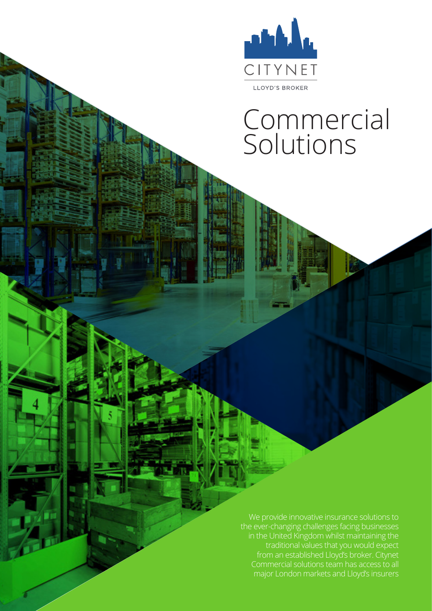

# Commercial Solutions

We provide innovative insurance solutions to the ever-changing challenges facing businesses in the United Kingdom whilst maintaining the traditional values that you would expect from an established Lloyd's broker. Citynet major London markets and Lloyd's insurers